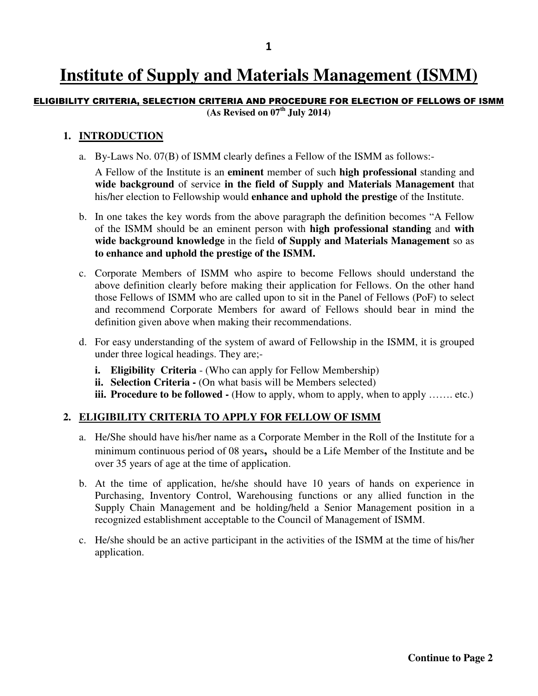# **Institute of Supply and Materials Management (ISMM)**

#### ELIGIBILITY CRITERIA, SELECTION CRITERIA AND PROCEDURE FOR ELECTION OF FELLOWS OF ISMM **(As Revised on 07th July 2014)**

### **1. INTRODUCTION**

a. By-Laws No. 07(B) of ISMM clearly defines a Fellow of the ISMM as follows:-

A Fellow of the Institute is an **eminent** member of such **high professional** standing and **wide background** of service **in the field of Supply and Materials Management** that his/her election to Fellowship would **enhance and uphold the prestige** of the Institute.

- b. In one takes the key words from the above paragraph the definition becomes "A Fellow of the ISMM should be an eminent person with **high professional standing** and **with wide background knowledge** in the field **of Supply and Materials Management** so as **to enhance and uphold the prestige of the ISMM.**
- c. Corporate Members of ISMM who aspire to become Fellows should understand the above definition clearly before making their application for Fellows. On the other hand those Fellows of ISMM who are called upon to sit in the Panel of Fellows (PoF) to select and recommend Corporate Members for award of Fellows should bear in mind the definition given above when making their recommendations.
- d. For easy understanding of the system of award of Fellowship in the ISMM, it is grouped under three logical headings. They are;
	- **i. Eligibility Criteria** (Who can apply for Fellow Membership)
	- **ii. Selection Criteria -** (On what basis will be Members selected)
	- **iii. Procedure to be followed -** (How to apply, whom to apply, when to apply ....... etc.)

## **2. ELIGIBILITY CRITERIA TO APPLY FOR FELLOW OF ISMM**

- a. He/She should have his/her name as a Corporate Member in the Roll of the Institute for a minimum continuous period of 08 years**,** should be a Life Member of the Institute and be over 35 years of age at the time of application.
- b. At the time of application, he/she should have 10 years of hands on experience in Purchasing, Inventory Control, Warehousing functions or any allied function in the Supply Chain Management and be holding/held a Senior Management position in a recognized establishment acceptable to the Council of Management of ISMM.
- c. He/she should be an active participant in the activities of the ISMM at the time of his/her application.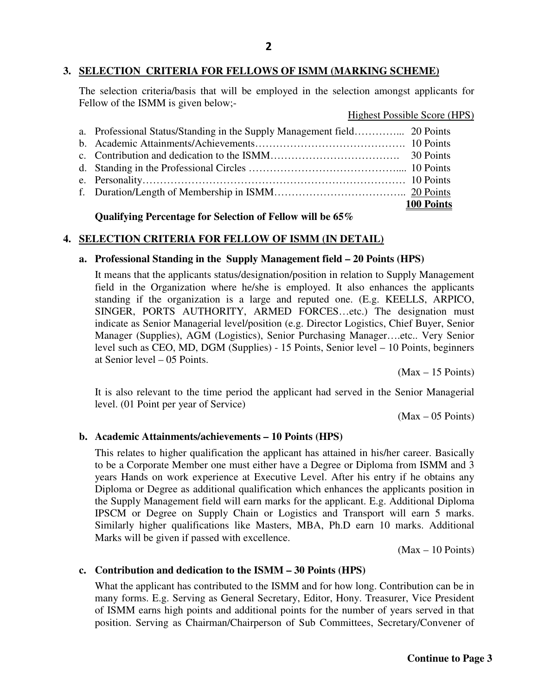# **3. SELECTION CRITERIA FOR FELLOWS OF ISMM (MARKING SCHEME)**

The selection criteria/basis that will be employed in the selection amongst applicants for Fellow of the ISMM is given below;-

## Highest Possible Score (HPS)

|  | <b>100 Points</b> |
|--|-------------------|

#### **Qualifying Percentage for Selection of Fellow will be 65%**

# **4. SELECTION CRITERIA FOR FELLOW OF ISMM (IN DETAIL)**

## **a. Professional Standing in the Supply Management field – 20 Points (HPS)**

It means that the applicants status/designation/position in relation to Supply Management field in the Organization where he/she is employed. It also enhances the applicants standing if the organization is a large and reputed one. (E.g. KEELLS, ARPICO, SINGER, PORTS AUTHORITY, ARMED FORCES…etc.) The designation must indicate as Senior Managerial level/position (e.g. Director Logistics, Chief Buyer, Senior Manager (Supplies), AGM (Logistics), Senior Purchasing Manager….etc.. Very Senior level such as CEO, MD, DGM (Supplies) - 15 Points, Senior level – 10 Points, beginners at Senior level – 05 Points.

 $(Max - 15$  Points)

It is also relevant to the time period the applicant had served in the Senior Managerial level. (01 Point per year of Service)

 $(Max - 05$  Points)

#### **b. Academic Attainments/achievements – 10 Points (HPS)**

This relates to higher qualification the applicant has attained in his/her career. Basically to be a Corporate Member one must either have a Degree or Diploma from ISMM and 3 years Hands on work experience at Executive Level. After his entry if he obtains any Diploma or Degree as additional qualification which enhances the applicants position in the Supply Management field will earn marks for the applicant. E.g. Additional Diploma IPSCM or Degree on Supply Chain or Logistics and Transport will earn 5 marks. Similarly higher qualifications like Masters, MBA, Ph.D earn 10 marks. Additional Marks will be given if passed with excellence.

 $(Max - 10$  Points)

## **c. Contribution and dedication to the ISMM – 30 Points (HPS)**

What the applicant has contributed to the ISMM and for how long. Contribution can be in many forms. E.g. Serving as General Secretary, Editor, Hony. Treasurer, Vice President of ISMM earns high points and additional points for the number of years served in that position. Serving as Chairman/Chairperson of Sub Committees, Secretary/Convener of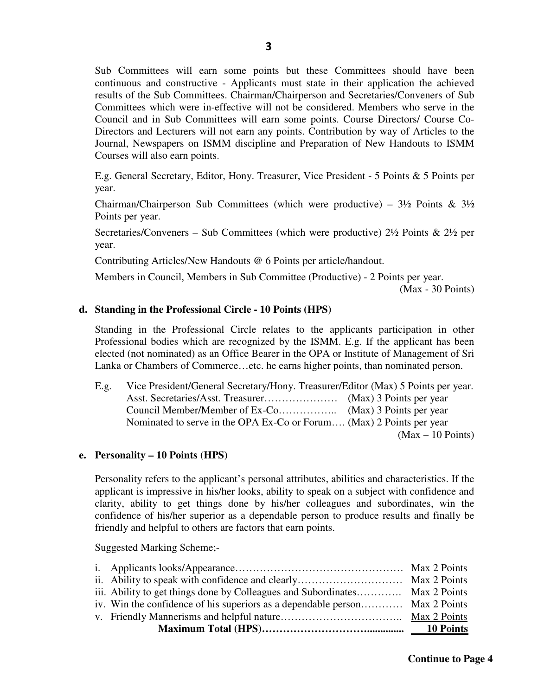Sub Committees will earn some points but these Committees should have been continuous and constructive - Applicants must state in their application the achieved results of the Sub Committees. Chairman/Chairperson and Secretaries/Conveners of Sub Committees which were in-effective will not be considered. Members who serve in the Council and in Sub Committees will earn some points. Course Directors/ Course Co-Directors and Lecturers will not earn any points. Contribution by way of Articles to the Journal, Newspapers on ISMM discipline and Preparation of New Handouts to ISMM Courses will also earn points.

E.g. General Secretary, Editor, Hony. Treasurer, Vice President - 5 Points & 5 Points per year.

Chairman/Chairperson Sub Committees (which were productive) –  $3\frac{1}{2}$  Points &  $3\frac{1}{2}$ Points per year.

Secretaries/Conveners – Sub Committees (which were productive)  $2\frac{1}{2}$  Points &  $2\frac{1}{2}$  per year.

Contributing Articles/New Handouts @ 6 Points per article/handout.

Members in Council, Members in Sub Committee (Productive) - 2 Points per year.

(Max - 30 Points)

#### **d. Standing in the Professional Circle - 10 Points (HPS)**

Standing in the Professional Circle relates to the applicants participation in other Professional bodies which are recognized by the ISMM. E.g. If the applicant has been elected (not nominated) as an Office Bearer in the OPA or Institute of Management of Sri Lanka or Chambers of Commerce…etc. he earns higher points, than nominated person.

E.g. Vice President/General Secretary/Hony. Treasurer/Editor (Max) 5 Points per year. Asst. Secretaries/Asst. Treasurer………………… (Max) 3 Points per year Council Member/Member of Ex-Co…………….. (Max) 3 Points per year Nominated to serve in the OPA Ex-Co or Forum…. (Max) 2 Points per year (Max – 10 Points)

#### **e. Personality – 10 Points (HPS)**

Personality refers to the applicant's personal attributes, abilities and characteristics. If the applicant is impressive in his/her looks, ability to speak on a subject with confidence and clarity, ability to get things done by his/her colleagues and subordinates, win the confidence of his/her superior as a dependable person to produce results and finally be friendly and helpful to others are factors that earn points.

Suggested Marking Scheme;-

| iv. Win the confidence of his superiors as a dependable person Max 2 Points |  |
|-----------------------------------------------------------------------------|--|
| iii. Ability to get things done by Colleagues and Subordinates Max 2 Points |  |
|                                                                             |  |
|                                                                             |  |